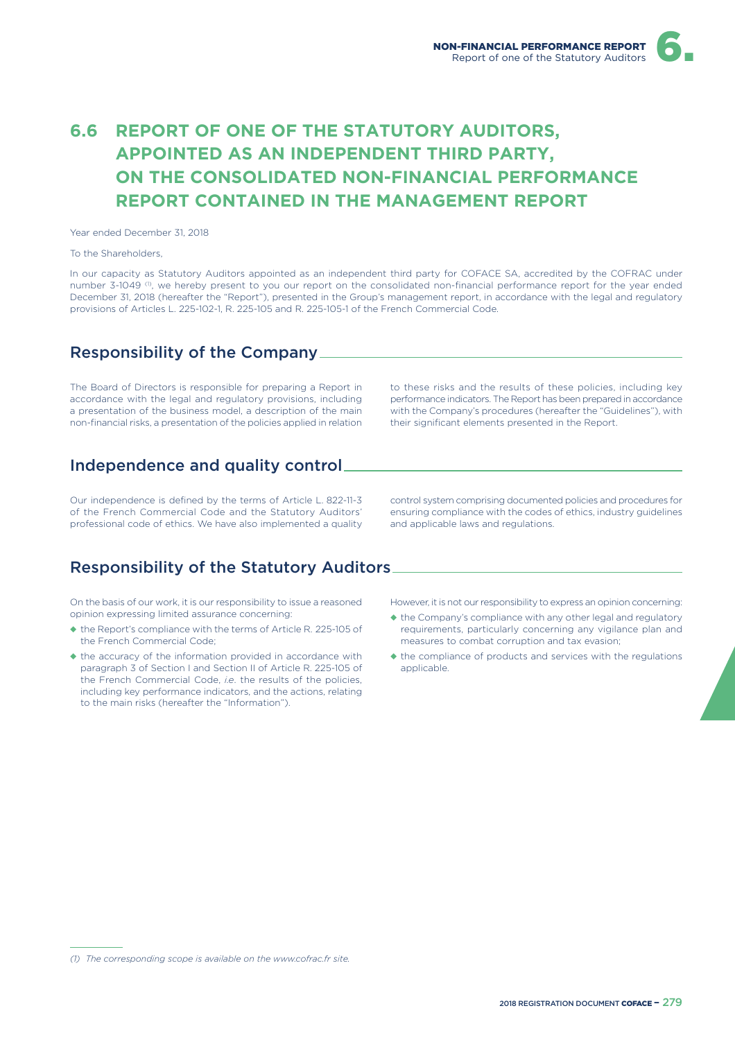# **6.6 REPORT OF ONE OF THE STATUTORY AUDITORS. APPOINTED AS AN INDEPENDENT THIRD PARTY, ON THE CONSOLIDATED NON-FINANCIAL PERFORMANCE REPORT CONTAINED IN THE MANAGEMENT REPORT**

Year ended December 31, 2018

To the Shareholders,

In our capacity as Statutory Auditors appointed as an independent third party for COFACE SA, accredited by the COFRAC under number 3-1049 <sup>(1)</sup>, we hereby present to you our report on the consolidated non-financial performance report for the year ended December 31, 2018 (hereafter the "Report"), presented in the Group's management report, in accordance with the legal and regulatory provisions of Articles L. 225-102-1, R. 225-105 and R. 225-105-1 of the French Commercial Code.

#### Responsibility of the Company

The Board of Directors is responsible for preparing a Report in accordance with the legal and regulatory provisions, including a presentation of the business model, a description of the main non-financial risks, a presentation of the policies applied in relation

Independence and quality control

Our independence is defined by the terms of Article L. 822-11-3 of the French Commercial Code and the Statutory Auditors' professional code of ethics. We have also implemented a quality

### Responsibility of the Statutory Auditors

On the basis of our work, it is our responsibility to issue a reasoned opinion expressing limited assurance concerning:

- ◆ the Report's compliance with the terms of Article R. 225-105 of the French Commercial Code;
- ◆ the accuracy of the information provided in accordance with paragraph 3 of Section I and Section II of Article R. 225-105 of the French Commercial Code, *i.e*. the results of the policies, including key performance indicators, and the actions, relating to the main risks (hereafter the "Information").

to these risks and the results of these policies, including key performance indicators. The Report has been prepared in accordance with the Company's procedures (hereafter the "Guidelines"), with their significant elements presented in the Report.

control system comprising documented policies and procedures for ensuring compliance with the codes of ethics, industry guidelines and applicable laws and regulations.

However, it is not our responsibility to express an opinion concerning:

- ◆ the Company's compliance with any other legal and regulatory requirements, particularly concerning any vigilance plan and measures to combat corruption and tax evasion;
- ◆ the compliance of products and services with the regulations applicable.

*<sup>(1)</sup> The corresponding scope is available on the www.cofrac.fr site.*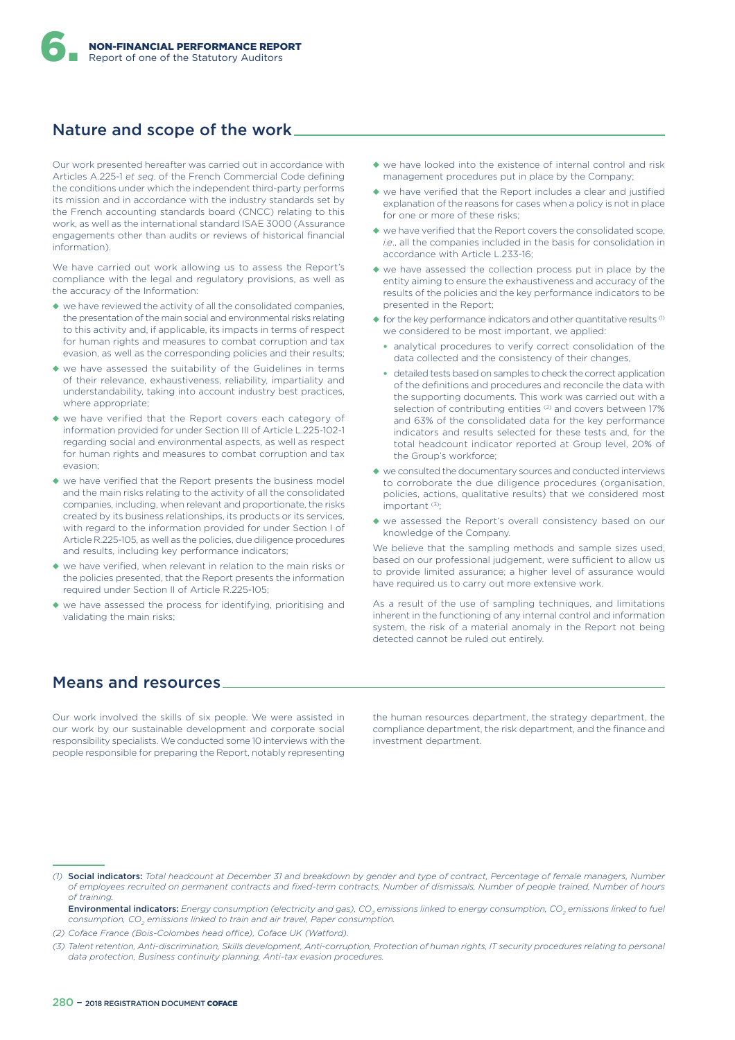#### Nature and scope of the work

Our work presented hereafter was carried out in accordance with Articles A.225-1 *et seq*. of the French Commercial Code defining the conditions under which the independent third-party performs its mission and in accordance with the industry standards set by the French accounting standards board (CNCC) relating to this work, as well as the international standard ISAE 3000 (Assurance engagements other than audits or reviews of historical financial information).

We have carried out work allowing us to assess the Report's compliance with the legal and regulatory provisions, as well as the accuracy of the Information:

- ◆ we have reviewed the activity of all the consolidated companies, the presentation of the main social and environmental risks relating to this activity and, if applicable, its impacts in terms of respect for human rights and measures to combat corruption and tax evasion, as well as the corresponding policies and their results;
- ◆ we have assessed the suitability of the Guidelines in terms of their relevance, exhaustiveness, reliability, impartiality and understandability, taking into account industry best practices, where appropriate:
- ◆ we have verified that the Report covers each category of information provided for under Section III of Article L.225-102-1 regarding social and environmental aspects, as well as respect for human rights and measures to combat corruption and tax evasion;
- ◆ we have verified that the Report presents the business model and the main risks relating to the activity of all the consolidated companies, including, when relevant and proportionate, the risks created by its business relationships, its products or its services, with regard to the information provided for under Section I of Article R.225-105, as well as the policies, due diligence procedures and results, including key performance indicators;
- ◆ we have verified, when relevant in relation to the main risks or the policies presented, that the Report presents the information required under Section II of Article R.225-105;
- ◆ we have assessed the process for identifying, prioritising and validating the main risks;
- ◆ we have looked into the existence of internal control and risk management procedures put in place by the Company;
- ◆ we have verified that the Report includes a clear and justified explanation of the reasons for cases when a policy is not in place for one or more of these risks;
- ◆ we have verified that the Report covers the consolidated scope, *i.e*., all the companies included in the basis for consolidation in accordance with Article L.233-16;
- ◆ we have assessed the collection process put in place by the entity aiming to ensure the exhaustiveness and accuracy of the results of the policies and the key performance indicators to be presented in the Report;
- $\triangle$  for the key performance indicators and other quantitative results  $(1)$ we considered to be most important, we applied:
	- analytical procedures to verify correct consolidation of the data collected and the consistency of their changes,
	- detailed tests based on samples to check the correct application of the definitions and procedures and reconcile the data with the supporting documents. This work was carried out with a selection of contributing entities<sup>(2)</sup> and covers between 17% and 63% of the consolidated data for the key performance indicators and results selected for these tests and, for the total headcount indicator reported at Group level, 20% of the Group's workforce;
- ◆ we consulted the documentary sources and conducted interviews to corroborate the due diligence procedures (organisation, policies, actions, qualitative results) that we considered most important (3);
- ◆ we assessed the Report's overall consistency based on our knowledge of the Company.

We believe that the sampling methods and sample sizes used, based on our professional judgement, were sufficient to allow us to provide limited assurance; a higher level of assurance would have required us to carry out more extensive work.

As a result of the use of sampling techniques, and limitations inherent in the functioning of any internal control and information system, the risk of a material anomaly in the Report not being detected cannot be ruled out entirely.

#### Means and resources

Our work involved the skills of six people. We were assisted in our work by our sustainable development and corporate social responsibility specialists. We conducted some 10 interviews with the people responsible for preparing the Report, notably representing the human resources department, the strategy department, the compliance department, the risk department, and the finance and investment department.

*(2) Coface France (Bois-Colombes head oIce), Coface UK (Watford).*

*<sup>(1)</sup>* Social indicators: *Total headcount at December 31 and breakdown by gender and type of contract, Percentage of female managers, Number of employees recruited on permanent contracts and fixed-term contracts, Number of dismissals, Number of people trained, Number of hours of training.*

Environmental indicators: *Energy consumption (electricity and gas), CO<sup>2</sup> emissions linked to energy consumption, CO<sup>2</sup> emissions linked to fuel consumption, CO<sup>2</sup> emissions linked to train and air travel, Paper consumption.*

*<sup>(3)</sup> Talent retention, Anti-discrimination, Skills development, Anti-corruption, Protection of human rights, IT security procedures relating to personal data protection, Business continuity planning, Anti-tax evasion procedures.*